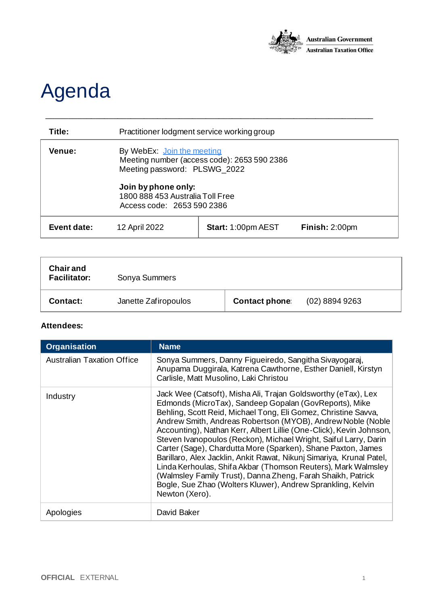

## Agenda

| Title:      | Practitioner lodgment service working group                                                                                                                                                        |                           |                |
|-------------|----------------------------------------------------------------------------------------------------------------------------------------------------------------------------------------------------|---------------------------|----------------|
| Venue:      | By WebEx: Join the meeting<br>Meeting number (access code): 2653 590 2386<br>Meeting password: PLSWG_2022<br>Join by phone only:<br>1800 888 453 Australia Toll Free<br>Access code: 2653 590 2386 |                           |                |
| Event date: | 12 April 2022                                                                                                                                                                                      | <b>Start: 1:00pm AEST</b> | Finish: 2:00pm |

\_\_\_\_\_\_\_\_\_\_\_\_\_\_\_\_\_\_\_\_\_\_\_\_\_\_\_\_\_\_\_\_\_\_\_\_\_\_\_\_\_\_\_\_\_\_\_\_\_\_\_\_\_\_\_\_\_\_\_\_\_\_\_\_\_\_\_\_\_\_\_\_\_\_

| <b>Chair and</b><br><b>Facilitator:</b> | Sonya Summers        |                      |                  |
|-----------------------------------------|----------------------|----------------------|------------------|
| Contact:                                | Janette Zafiropoulos | <b>Contact phone</b> | $(02)$ 8894 9263 |

## **Attendees:**

| <b>Organisation</b>               | <b>Name</b>                                                                                                                                                                                                                                                                                                                                                                                                                                                                                                                                                                                                                                                                                                                                                  |
|-----------------------------------|--------------------------------------------------------------------------------------------------------------------------------------------------------------------------------------------------------------------------------------------------------------------------------------------------------------------------------------------------------------------------------------------------------------------------------------------------------------------------------------------------------------------------------------------------------------------------------------------------------------------------------------------------------------------------------------------------------------------------------------------------------------|
| <b>Australian Taxation Office</b> | Sonya Summers, Danny Figueiredo, Sangitha Sivayogaraj,<br>Anupama Duggirala, Katrena Cawthorne, Esther Daniell, Kirstyn<br>Carlisle, Matt Musolino, Laki Christou                                                                                                                                                                                                                                                                                                                                                                                                                                                                                                                                                                                            |
| Industry                          | Jack Wee (Catsoft), Misha Ali, Trajan Goldsworthy (eTax), Lex<br>Edmonds (MicroTax), Sandeep Gopalan (GovReports), Mike<br>Behling, Scott Reid, Michael Tong, Eli Gomez, Christine Savva,<br>Andrew Smith, Andreas Robertson (MYOB), Andrew Noble (Noble<br>Accounting), Nathan Kerr, Albert Lillie (One-Click), Kevin Johnson,<br>Steven Ivanopoulos (Reckon), Michael Wright, Saiful Larry, Darin<br>Carter (Sage), Chardutta More (Sparken), Shane Paxton, James<br>Barillaro, Alex Jacklin, Ankit Rawat, Nikunj Simariya, Krunal Patel,<br>Linda Kerhoulas, Shifa Akbar (Thomson Reuters), Mark Walmsley<br>(Walmsley Family Trust), Danna Zheng, Farah Shaikh, Patrick<br>Bogle, Sue Zhao (Wolters Kluwer), Andrew Sprankling, Kelvin<br>Newton (Xero). |
| Apologies                         | David Baker                                                                                                                                                                                                                                                                                                                                                                                                                                                                                                                                                                                                                                                                                                                                                  |